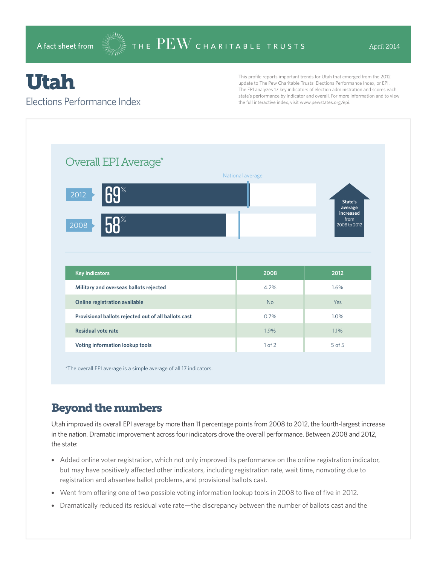# Utah

#### Elections Performance Index

This profile reports important trends for Utah that emerged from the 2012 update to The Pew Charitable Trusts' Elections Performance Index, or EPI. The EPI analyzes 17 key indicators of election administration and scores each state's performance by indicator and overall. For more information and to view the full interactive index, visit www.pewstates.org/epi.

| Overall EPI Average*                                 |                  |                                   |
|------------------------------------------------------|------------------|-----------------------------------|
|                                                      | National average |                                   |
| 40%<br>2012                                          |                  | State's<br>average                |
| $n^*$<br>2008                                        |                  | increased<br>from<br>2008 to 2012 |
|                                                      |                  |                                   |
|                                                      |                  |                                   |
|                                                      |                  |                                   |
| <b>Key indicators</b>                                | 2008             | 2012                              |
| Military and overseas ballots rejected               | 4.2%             | 1.6%                              |
| Online registration available                        | <b>No</b>        | Yes                               |
| Provisional ballots rejected out of all ballots cast | 0.7%             | 1.0%                              |
| <b>Residual vote rate</b>                            | 1.9%             | 1.1%                              |

\*The overall EPI average is a simple average of all 17 indicators.

## Beyond the numbers

Utah improved its overall EPI average by more than 11 percentage points from 2008 to 2012, the fourth-largest increase in the nation. Dramatic improvement across four indicators drove the overall performance. Between 2008 and 2012, the state:

- Added online voter registration, which not only improved its performance on the online registration indicator, but may have positively affected other indicators, including registration rate, wait time, nonvoting due to registration and absentee ballot problems, and provisional ballots cast.
- Went from offering one of two possible voting information lookup tools in 2008 to five of five in 2012.
- Dramatically reduced its residual vote rate—the discrepancy between the number of ballots cast and the